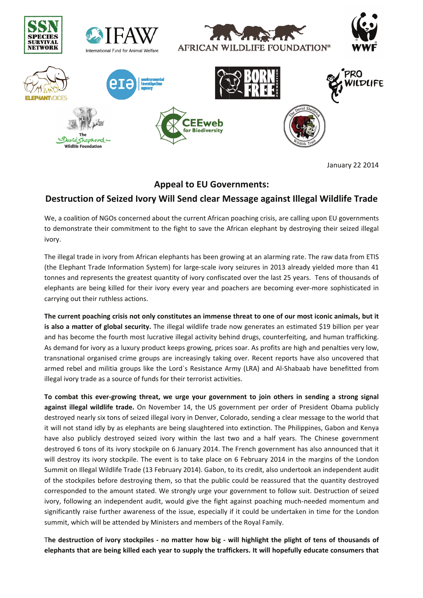

**January 22 2014** 

## **Appeal to EU Governments:**

## Destruction of Seized Ivory Will Send clear Message against Illegal Wildlife Trade

We, a coalition of NGOs concerned about the current African poaching crisis, are calling upon EU governments to demonstrate their commitment to the fight to save the African elephant by destroying their seized illegal ivory.

The illegal trade in ivory from African elephants has been growing at an alarming rate. The raw data from ETIS (the Elephant Trade Information System) for large-scale ivory seizures in 2013 already yielded more than 41 tonnes and represents the greatest quantity of ivory confiscated over the last 25 years. Tens of thousands of elephants are being killed for their ivory every year and poachers are becoming ever-more sophisticated in carrying out their ruthless actions.

The current poaching crisis not only constitutes an immense threat to one of our most iconic animals, but it is also a matter of global security. The illegal wildlife trade now generates an estimated \$19 billion per year and has become the fourth most lucrative illegal activity behind drugs, counterfeiting, and human trafficking. As demand for ivory as a luxury product keeps growing, prices soar. As profits are high and penalties very low, transnational organised crime groups are increasingly taking over. Recent reports have also uncovered that armed rebel and militia groups like the Lord's Resistance Army (LRA) and Al-Shabaab have benefitted from illegal ivory trade as a source of funds for their terrorist activities.

To combat this ever-growing threat, we urge your government to join others in sending a strong signal against illegal wildlife trade. On November 14, the US government per order of President Obama publicly destroyed nearly six tons of seized illegal ivory in Denver, Colorado, sending a clear message to the world that it will not stand idly by as elephants are being slaughtered into extinction. The Philippines, Gabon and Kenya have also publicly destroyed seized ivory within the last two and a half years. The Chinese government destroyed 6 tons of its ivory stockpile on 6 January 2014. The French government has also announced that it will destroy its ivory stockpile. The event is to take place on 6 February 2014 in the margins of the London Summit on Illegal Wildlife Trade (13 February 2014). Gabon, to its credit, also undertook an independent audit of the stockpiles before destroying them, so that the public could be reassured that the quantity destroyed corresponded to the amount stated. We strongly urge your government to follow suit. Destruction of seized ivory, following an independent audit, would give the fight against poaching much-needed momentum and significantly raise further awareness of the issue, especially if it could be undertaken in time for the London summit, which will be attended by Ministers and members of the Royal Family.

The destruction of ivory stockpiles - no matter how big - will highlight the plight of tens of thousands of elephants that are being killed each year to supply the traffickers. It will hopefully educate consumers that